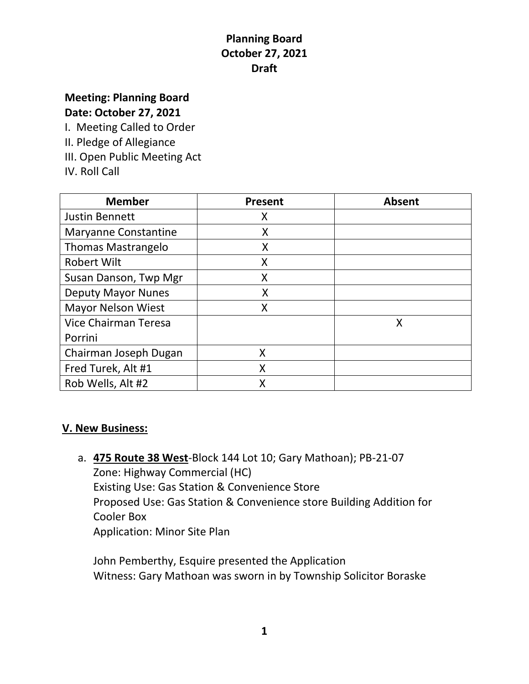# **Meeting: Planning Board**

**Date: October 27, 2021**

I. Meeting Called to Order

II. Pledge of Allegiance

III. Open Public Meeting Act

IV. Roll Call

| <b>Member</b>               | <b>Present</b> | <b>Absent</b> |
|-----------------------------|----------------|---------------|
| <b>Justin Bennett</b>       | X              |               |
| <b>Maryanne Constantine</b> | X              |               |
| <b>Thomas Mastrangelo</b>   | X              |               |
| <b>Robert Wilt</b>          | Χ              |               |
| Susan Danson, Twp Mgr       | X              |               |
| <b>Deputy Mayor Nunes</b>   | Χ              |               |
| <b>Mayor Nelson Wiest</b>   | Χ              |               |
| Vice Chairman Teresa        |                | X             |
| Porrini                     |                |               |
| Chairman Joseph Dugan       | X              |               |
| Fred Turek, Alt #1          | X              |               |
| Rob Wells, Alt #2           | Χ              |               |

#### **V. New Business:**

a. **475 Route 38 West**-Block 144 Lot 10; Gary Mathoan); PB-21-07 Zone: Highway Commercial (HC) Existing Use: Gas Station & Convenience Store Proposed Use: Gas Station & Convenience store Building Addition for Cooler Box Application: Minor Site Plan

John Pemberthy, Esquire presented the Application Witness: Gary Mathoan was sworn in by Township Solicitor Boraske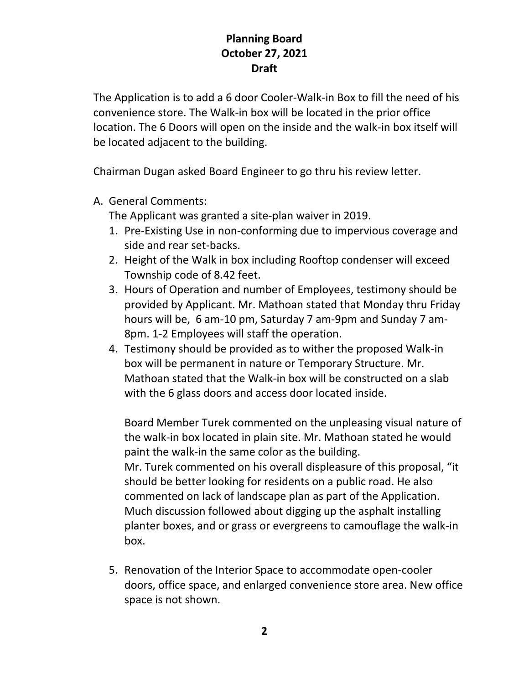The Application is to add a 6 door Cooler-Walk-in Box to fill the need of his convenience store. The Walk-in box will be located in the prior office location. The 6 Doors will open on the inside and the walk-in box itself will be located adjacent to the building.

Chairman Dugan asked Board Engineer to go thru his review letter.

A. General Comments:

The Applicant was granted a site-plan waiver in 2019.

- 1. Pre-Existing Use in non-conforming due to impervious coverage and side and rear set-backs.
- 2. Height of the Walk in box including Rooftop condenser will exceed Township code of 8.42 feet.
- 3. Hours of Operation and number of Employees, testimony should be provided by Applicant. Mr. Mathoan stated that Monday thru Friday hours will be, 6 am-10 pm, Saturday 7 am-9pm and Sunday 7 am-8pm. 1-2 Employees will staff the operation.
- 4. Testimony should be provided as to wither the proposed Walk-in box will be permanent in nature or Temporary Structure. Mr. Mathoan stated that the Walk-in box will be constructed on a slab with the 6 glass doors and access door located inside.

Board Member Turek commented on the unpleasing visual nature of the walk-in box located in plain site. Mr. Mathoan stated he would paint the walk-in the same color as the building. Mr. Turek commented on his overall displeasure of this proposal, "it should be better looking for residents on a public road. He also commented on lack of landscape plan as part of the Application. Much discussion followed about digging up the asphalt installing planter boxes, and or grass or evergreens to camouflage the walk-in box.

5. Renovation of the Interior Space to accommodate open-cooler doors, office space, and enlarged convenience store area. New office space is not shown.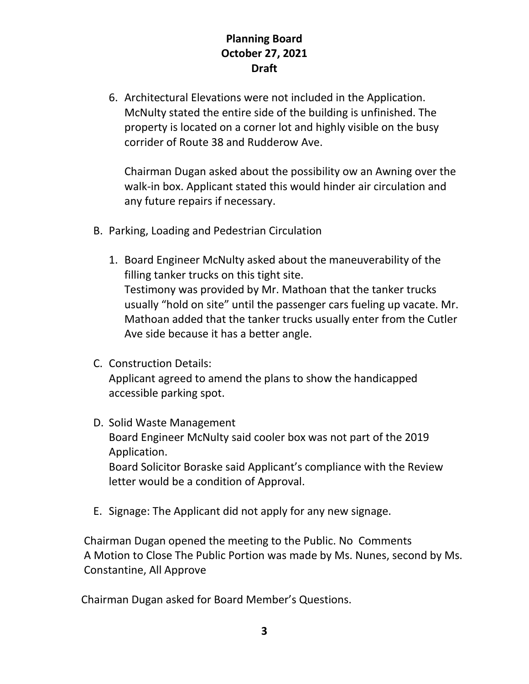6. Architectural Elevations were not included in the Application. McNulty stated the entire side of the building is unfinished. The property is located on a corner lot and highly visible on the busy corrider of Route 38 and Rudderow Ave.

Chairman Dugan asked about the possibility ow an Awning over the walk-in box. Applicant stated this would hinder air circulation and any future repairs if necessary.

- B. Parking, Loading and Pedestrian Circulation
	- 1. Board Engineer McNulty asked about the maneuverability of the filling tanker trucks on this tight site. Testimony was provided by Mr. Mathoan that the tanker trucks usually "hold on site" until the passenger cars fueling up vacate. Mr. Mathoan added that the tanker trucks usually enter from the Cutler Ave side because it has a better angle.
- C. Construction Details: Applicant agreed to amend the plans to show the handicapped accessible parking spot.
- D. Solid Waste Management Board Engineer McNulty said cooler box was not part of the 2019 Application. Board Solicitor Boraske said Applicant's compliance with the Review letter would be a condition of Approval.
- E. Signage: The Applicant did not apply for any new signage.

 Chairman Dugan opened the meeting to the Public. No Comments A Motion to Close The Public Portion was made by Ms. Nunes, second by Ms. Constantine, All Approve

Chairman Dugan asked for Board Member's Questions.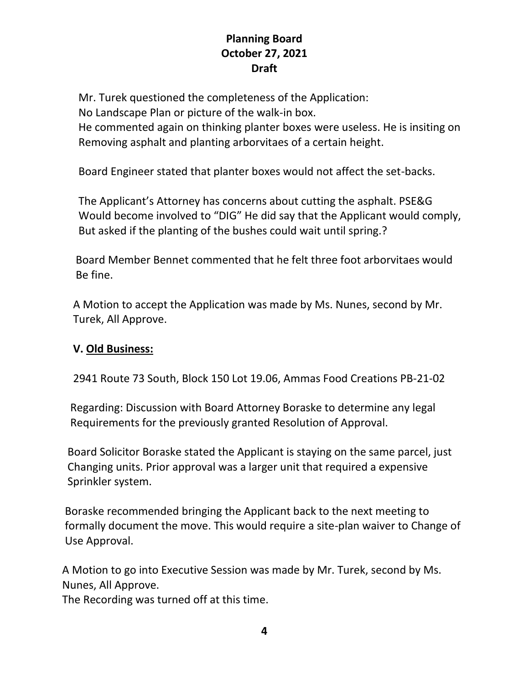Mr. Turek questioned the completeness of the Application:

No Landscape Plan or picture of the walk-in box.

 He commented again on thinking planter boxes were useless. He is insiting on Removing asphalt and planting arborvitaes of a certain height.

Board Engineer stated that planter boxes would not affect the set-backs.

 The Applicant's Attorney has concerns about cutting the asphalt. PSE&G Would become involved to "DIG" He did say that the Applicant would comply, But asked if the planting of the bushes could wait until spring.?

 Board Member Bennet commented that he felt three foot arborvitaes would Be fine.

 A Motion to accept the Application was made by Ms. Nunes, second by Mr. Turek, All Approve.

#### **V. Old Business:**

2941 Route 73 South, Block 150 Lot 19.06, Ammas Food Creations PB-21-02

 Regarding: Discussion with Board Attorney Boraske to determine any legal Requirements for the previously granted Resolution of Approval.

 Board Solicitor Boraske stated the Applicant is staying on the same parcel, just Changing units. Prior approval was a larger unit that required a expensive Sprinkler system.

Boraske recommended bringing the Applicant back to the next meeting to formally document the move. This would require a site-plan waiver to Change of Use Approval.

A Motion to go into Executive Session was made by Mr. Turek, second by Ms. Nunes, All Approve.

The Recording was turned off at this time.